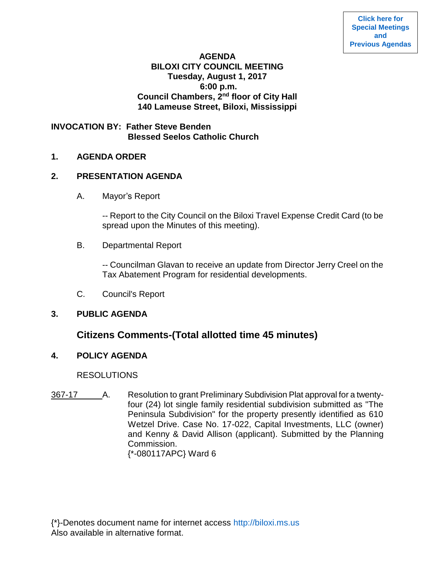## **AGENDA BILOXI CITY COUNCIL MEETING Tuesday, August 1, 2017 6:00 p.m. Council Chambers, 2nd floor of City Hall 140 Lameuse Street, Biloxi, Mississippi**

## **INVOCATION BY: Father Steve Benden Blessed Seelos Catholic Church**

## **1. AGENDA ORDER**

## **2. PRESENTATION AGENDA**

A. Mayor's Report

-- Report to the City Council on the Biloxi Travel Expense Credit Card (to be spread upon the Minutes of this meeting).

B. Departmental Report

-- Councilman Glavan to receive an update from Director Jerry Creel on the Tax Abatement Program for residential developments.

C. Council's Report

# **3. PUBLIC AGENDA**

# **Citizens Comments-(Total allotted time 45 minutes)**

# **4. POLICY AGENDA**

# **RESOLUTIONS**

367-17 A. Resolution to grant Preliminary Subdivision Plat approval for a twentyfour (24) lot single family residential subdivision submitted as "The Peninsula Subdivision" for the property presently identified as 610 Wetzel Drive. Case No. 17-022, Capital Investments, LLC (owner) and Kenny & David Allison (applicant). Submitted by the Planning Commission. {\*-080117APC} Ward 6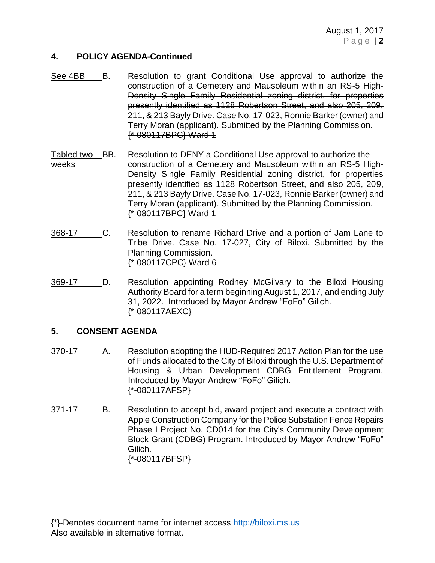#### **4. POLICY AGENDA-Continued**

- See 4BB B. Resolution to grant Conditional Use approval to authorize the construction of a Cemetery and Mausoleum within an RS-5 High-Density Single Family Residential zoning district, for properties presently identified as 1128 Robertson Street, and also 205, 209, 211, & 213 Bayly Drive. Case No. 17-023, Ronnie Barker (owner) and Terry Moran (applicant). Submitted by the Planning Commission. {\*-080117BPC} Ward 1
- Tabled two BB. Resolution to DENY a Conditional Use approval to authorize the weeks construction of a Cemetery and Mausoleum within an RS-5 High-Density Single Family Residential zoning district, for properties presently identified as 1128 Robertson Street, and also 205, 209, 211, & 213 Bayly Drive. Case No. 17-023, Ronnie Barker (owner) and Terry Moran (applicant). Submitted by the Planning Commission. {\*-080117BPC} Ward 1
- 368-17 C. Resolution to rename Richard Drive and a portion of Jam Lane to Tribe Drive. Case No. 17-027, City of Biloxi. Submitted by the Planning Commission. {\*-080117CPC} Ward 6
- 369-17 D. Resolution appointing Rodney McGilvary to the Biloxi Housing Authority Board for a term beginning August 1, 2017, and ending July 31, 2022. Introduced by Mayor Andrew "FoFo" Gilich. {\*-080117AEXC}

### **5. CONSENT AGENDA**

- 370-17 A. Resolution adopting the HUD-Required 2017 Action Plan for the use of Funds allocated to the City of Biloxi through the U.S. Department of Housing & Urban Development CDBG Entitlement Program. Introduced by Mayor Andrew "FoFo" Gilich. {\*-080117AFSP}
- 371-17 B. Resolution to accept bid, award project and execute a contract with Apple Construction Company for the Police Substation Fence Repairs Phase I Project No. CD014 for the City's Community Development Block Grant (CDBG) Program. Introduced by Mayor Andrew "FoFo" Gilich. {\*-080117BFSP}

{\*}-Denotes document name for internet access [http://biloxi.ms.us](http://biloxi.ms.us/) Also available in alternative format.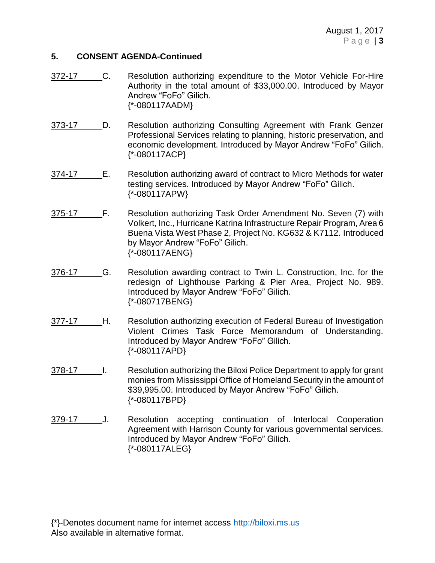### **5. CONSENT AGENDA-Continued**

- 372-17 C. Resolution authorizing expenditure to the Motor Vehicle For-Hire Authority in the total amount of \$33,000.00. Introduced by Mayor Andrew "FoFo" Gilich. {\*-080117AADM}
- 373-17 D. Resolution authorizing Consulting Agreement with Frank Genzer Professional Services relating to planning, historic preservation, and economic development. Introduced by Mayor Andrew "FoFo" Gilich. {\*-080117ACP}
- 374-17 E. Resolution authorizing award of contract to Micro Methods for water testing services. Introduced by Mayor Andrew "FoFo" Gilich. {\*-080117APW}
- 375-17 F. Resolution authorizing Task Order Amendment No. Seven (7) with Volkert, Inc., Hurricane Katrina Infrastructure Repair Program, Area 6 Buena Vista West Phase 2, Project No. KG632 & K7112. Introduced by Mayor Andrew "FoFo" Gilich. {\*-080117AENG}
- 376-17 G. Resolution awarding contract to Twin L. Construction, Inc. for the redesign of Lighthouse Parking & Pier Area, Project No. 989. Introduced by Mayor Andrew "FoFo" Gilich. {\*-080717BENG}
- 377-17 H. Resolution authorizing execution of Federal Bureau of Investigation Violent Crimes Task Force Memorandum of Understanding. Introduced by Mayor Andrew "FoFo" Gilich. {\*-080117APD}
- 378-17 I. Resolution authorizing the Biloxi Police Department to apply for grant monies from Mississippi Office of Homeland Security in the amount of \$39,995.00. Introduced by Mayor Andrew "FoFo" Gilich. {\*-080117BPD}
- 379-17 J. Resolution accepting continuation of Interlocal Cooperation Agreement with Harrison County for various governmental services. Introduced by Mayor Andrew "FoFo" Gilich. {\*-080117ALEG}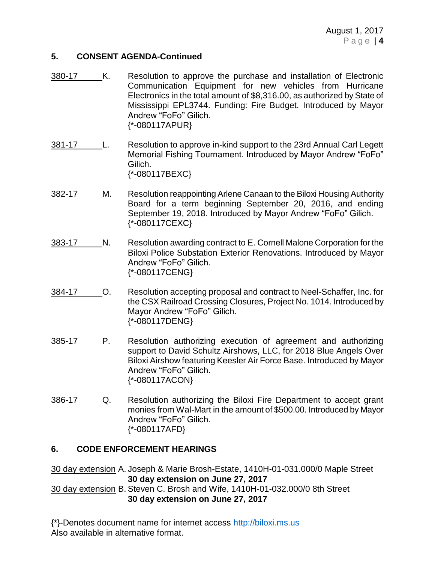#### **5. CONSENT AGENDA-Continued**

- 380-17 K. Resolution to approve the purchase and installation of Electronic Communication Equipment for new vehicles from Hurricane Electronics in the total amount of \$8,316.00, as authorized by State of Mississippi EPL3744. Funding: Fire Budget. Introduced by Mayor Andrew "FoFo" Gilich. {\*-080117APUR}
- 381-17 L. Resolution to approve in-kind support to the 23rd Annual Carl Legett Memorial Fishing Tournament. Introduced by Mayor Andrew "FoFo" Gilich. {\*-080117BEXC}
- 382-17 M. Resolution reappointing Arlene Canaan to the Biloxi Housing Authority Board for a term beginning September 20, 2016, and ending September 19, 2018. Introduced by Mayor Andrew "FoFo" Gilich. {\*-080117CEXC}
- 383-17 N. Resolution awarding contract to E. Cornell Malone Corporation for the Biloxi Police Substation Exterior Renovations. Introduced by Mayor Andrew "FoFo" Gilich. {\*-080117CENG}
- 384-17 O. Resolution accepting proposal and contract to Neel-Schaffer, Inc. for the CSX Railroad Crossing Closures, Project No. 1014. Introduced by Mayor Andrew "FoFo" Gilich. {\*-080117DENG}
- 385-17 P. Resolution authorizing execution of agreement and authorizing support to David Schultz Airshows, LLC, for 2018 Blue Angels Over Biloxi Airshow featuring Keesler Air Force Base. Introduced by Mayor Andrew "FoFo" Gilich. {\*-080117ACON}
- 386-17 Q. Resolution authorizing the Biloxi Fire Department to accept grant monies from Wal-Mart in the amount of \$500.00. Introduced by Mayor Andrew "FoFo" Gilich. {\*-080117AFD}

### **6. CODE ENFORCEMENT HEARINGS**

30 day extension A. Joseph & Marie Brosh-Estate, 1410H-01-031.000/0 Maple Street **30 day extension on June 27, 2017** 30 day extension B. Steven C. Brosh and Wife, 1410H-01-032.000/0 8th Street

**30 day extension on June 27, 2017**

{\*}-Denotes document name for internet access [http://biloxi.ms.us](http://biloxi.ms.us/) Also available in alternative format.